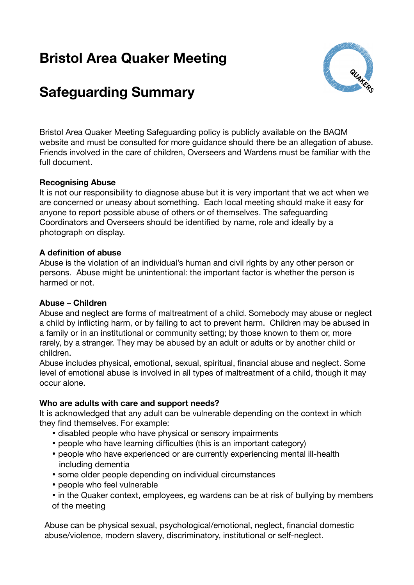# **Bristol Area Quaker Meeting**



# **Safeguarding Summary**

Bristol Area Quaker Meeting Safeguarding policy is publicly available on the BAQM website and must be consulted for more guidance should there be an allegation of abuse. Friends involved in the care of children, Overseers and Wardens must be familiar with the full document.

#### **Recognising Abuse**

It is not our responsibility to diagnose abuse but it is very important that we act when we are concerned or uneasy about something. Each local meeting should make it easy for anyone to report possible abuse of others or of themselves. The safeguarding Coordinators and Overseers should be identified by name, role and ideally by a photograph on display.

#### **A definition of abuse**

Abuse is the violation of an individual's human and civil rights by any other person or persons. Abuse might be unintentional: the important factor is whether the person is harmed or not.

### **Abuse** – **Children**

Abuse and neglect are forms of maltreatment of a child. Somebody may abuse or neglect a child by inflicting harm, or by failing to act to prevent harm. Children may be abused in a family or in an institutional or community setting; by those known to them or, more rarely, by a stranger. They may be abused by an adult or adults or by another child or children.

Abuse includes physical, emotional, sexual, spiritual, financial abuse and neglect. Some level of emotional abuse is involved in all types of maltreatment of a child, though it may occur alone.

### **Who are adults with care and support needs?**

It is acknowledged that any adult can be vulnerable depending on the context in which they find themselves. For example:

- disabled people who have physical or sensory impairments
- people who have learning difficulties (this is an important category)
- people who have experienced or are currently experiencing mental ill-health including dementia
- some older people depending on individual circumstances
- people who feel vulnerable
- in the Quaker context, employees, eg wardens can be at risk of bullying by members of the meeting

Abuse can be physical sexual, psychological/emotional, neglect, financial domestic abuse/violence, modern slavery, discriminatory, institutional or self-neglect.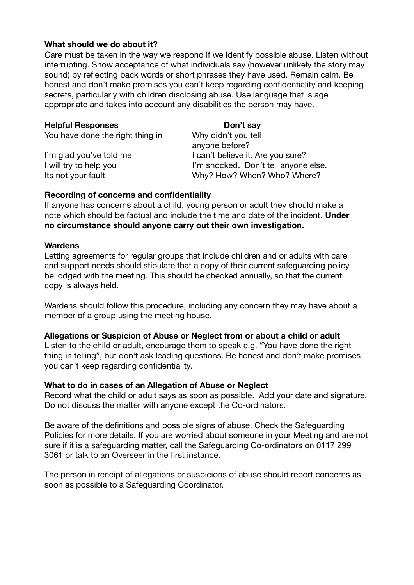#### **What should we do about it?**

Care must be taken in the way we respond if we identify possible abuse. Listen without interrupting. Show acceptance of what individuals say (however unlikely the story may sound) by reflecting back words or short phrases they have used. Remain calm. Be honest and don't make promises you can't keep regarding confidentiality and keeping secrets, particularly with children disclosing abuse. Use language that is age appropriate and takes into account any disabilities the person may have.

| Don't say                            |
|--------------------------------------|
| Why didn't you tell                  |
| anyone before?                       |
| I can't believe it. Are you sure?    |
| I'm shocked. Don't tell anyone else. |
| Why? How? When? Who? Where?          |
|                                      |

#### **Recording of concerns and confidentiality**

If anyone has concerns about a child, young person or adult they should make a note which should be factual and include the time and date of the incident. **Under no circumstance should anyone carry out their own investigation.**

#### **Wardens**

Letting agreements for regular groups that include children and or adults with care and support needs should stipulate that a copy of their current safeguarding policy be lodged with the meeting. This should be checked annually, so that the current copy is always held.

Wardens should follow this procedure, including any concern they may have about a member of a group using the meeting house.

#### **Allegations or Suspicion of Abuse or Neglect from or about a child or adult**

Listen to the child or adult, encourage them to speak e.g. "You have done the right thing in telling", but don't ask leading questions. Be honest and don't make promises you can't keep regarding confidentiality.

#### **What to do in cases of an Allegation of Abuse or Neglect**

Record what the child or adult says as soon as possible. Add your date and signature. Do not discuss the matter with anyone except the Co-ordinators.

Be aware of the definitions and possible signs of abuse. Check the Safeguarding Policies for more details. If you are worried about someone in your Meeting and are not sure if it is a safeguarding matter, call the Safeguarding Co-ordinators on 0117 299 3061 or talk to an Overseer in the first instance.

The person in receipt of allegations or suspicions of abuse should report concerns as soon as possible to a Safeguarding Coordinator.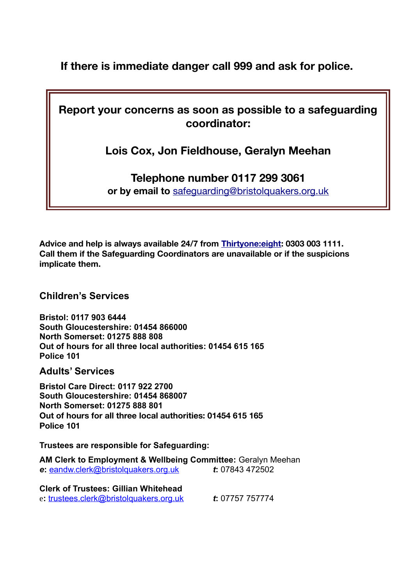**If there is immediate danger call 999 and ask for police.**

**Report your concerns as soon as possible to a safeguarding coordinator:**

**Lois Cox, Jon Fieldhouse, Geralyn Meehan**

## **Telephone number 0117 299 3061**

**or by email to** [safeguarding@bristolquakers.org.uk](./http:%2F%2Fjavascript:phoenixHandler.handleMailTo()

**Advice and help is always available 24/7 from [Thirtyone:eight](https://thirtyoneeight.org/): 0303 003 1111. Call them if the Safeguarding Coordinators are unavailable or if the suspicions implicate them.**

**Children's Services**

**Bristol: 0117 903 6444 South Gloucestershire: 01454 866000 North Somerset: 01275 888 808 Out of hours for all three local authorities: 01454 615 165 Police 101**

**Adults' Services**

**Bristol Care Direct: 0117 922 2700 South Gloucestershire: 01454 868007 North Somerset: 01275 888 801 Out of hours for all three local authorities: 01454 615 165 Police 101**

**Trustees are responsible for Safeguarding:**

**AM Clerk to Employment & Wellbeing Committee:** Geralyn Meehan *e***:** [eandw.clerk@bristolquakers.org.uk](mailto:eandw.clerk@bristolquakers.org.uk?subject=Safeguarding) *t***:** 07843 472502

**Clerk of Trustees: Gillian Whitehead** e**:** [trustees.clerk@bristolquakers.org.uk](mailto:trustees.clerk@bristolquakers.org.uk) *t***:** 07757 757774